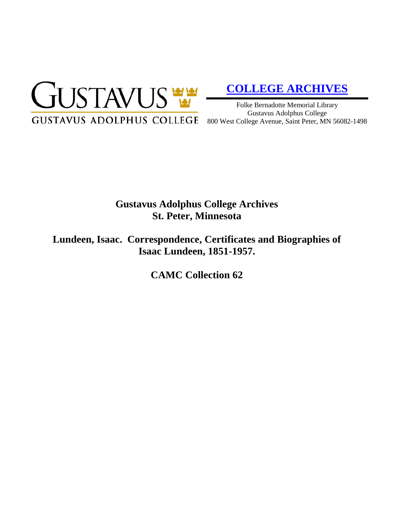

# **[COLLEGE ARCHIVES](http://gustavus.edu/academics/library/archives/)**

Folke Bernadotte Memorial Library Gustavus Adolphus College 800 West College Avenue, Saint Peter, MN 56082-1498

# **Gustavus Adolphus College Archives St. Peter, Minnesota**

**Lundeen, Isaac. Correspondence, Certificates and Biographies of Isaac Lundeen, 1851-1957.**

**CAMC Collection 62**